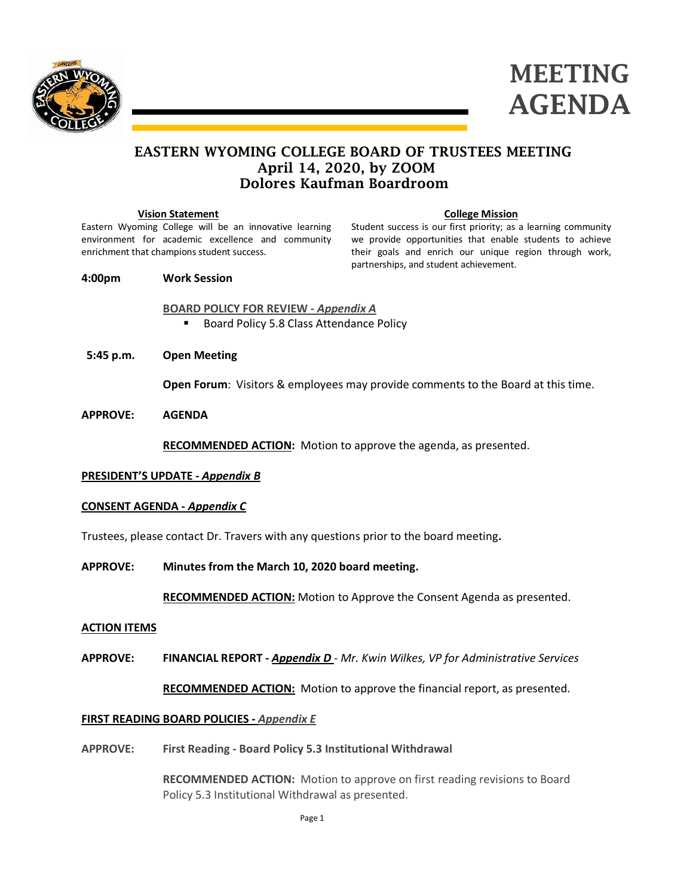



# EASTERN WYOMING COLLEGE BOARD OF TRUSTEES MEETING April 14, 2020, by ZOOM Dolores Kaufman Boardroom

enrichment that champions student success. **<u>Vision Statement</u><br>Eastern Wyoming College will be an innovative learning Student success is our first priority; as a** 

Student success is our first priority; as a learning community environment for academic excellence and community we provide opportunities that enable students to achieve their goals and enrich our unique region through work, partnerships, and student achievement.

# **4:00pm Work Session**

**BOARD POLICY FOR REVIEW -** *Appendix A* 

**Board Policy 5.8 Class Attendance Policy** 

5:45 p.m. **Open Meeting** 

**Open Forum**: Visitors & employees may provide comments to the Board at this time.

#### **AGENDA**

**APPROVE:** AGENDA<br>RECOMMENDED ACTION: Motion to approve the agenda, as presented.

 **PRESIDENT'S UPDATE -** *Appendix B* 

# **CONSENT AGENDA -** *Appendix C*

Trustees, please contact Dr. Travers with any questions prior to the board meeting**.** 

# **APPROVE: Minutes from the March 10, 2020 board meeting.**

**RECOMMENDED ACTION:** Motion to Approve the Consent Agenda as presented.

#### **ACTION ITEMS**

 **APPROVE: FINANCIAL REPORT -** *Appendix D* - *Mr. Kwin Wilkes, VP for Administrative Services* 

**RECOMMENDED ACTION:** Motion to approve the financial report, as presented.

# **FIRST READING BOARD POLICIES -** *Appendix E*

**APPROVE: APPROVE: First Reading - Board Policy 5.3 Institutional Withdrawal** 

> **RECOMMENDED ACTION:** Motion to approve on first reading revisions to Board Policy 5.3 Institutional Withdrawal as presented.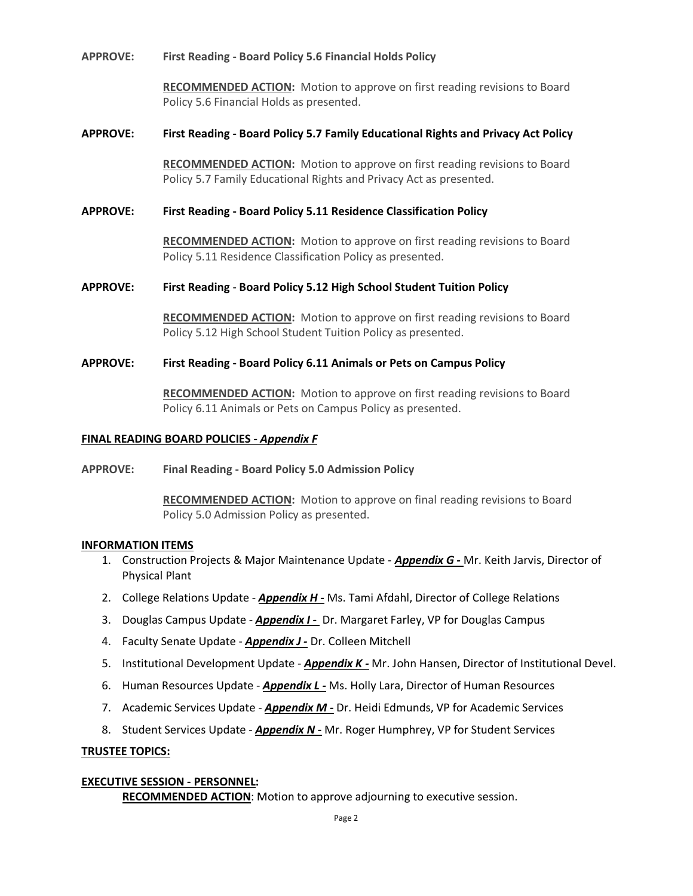**APPROVE: First Reading - Board Policy 5.6 Financial Holds Policy** 

**RECOMMENDED ACTION:** Motion to approve on first reading revisions to Board Policy 5.6 Financial Holds as presented.

# **APPROVE: First Reading - Board Policy 5.7 Family Educational Rights and Privacy Act Policy**

**RECOMMENDED ACTION:** Motion to approve on first reading revisions to Board Policy 5.7 Family Educational Rights and Privacy Act as presented.

# First Reading - Board Policy 5.11 Residence Classification Policy **APPROVE:** First Reading - Board Policy 5.11 Residence Classification Policy<br>RECOMMENDED ACTION: Motion to approve on first reading revisions to Board

Policy 5.11 Residence Classification Policy as presented.

# **APPROVE: First Reading** - **Board Policy 5.12 High School Student Tuition Policy**

**RECOMMENDED ACTION:** Motion to approve on first reading revisions to Board Policy 5.12 High School Student Tuition Policy as presented.

# **APPROVE: First Reading - Board Policy 6.11 Animals or Pets on Campus Policy**

**RECOMMENDED ACTION:** Motion to approve on first reading revisions to Board Policy 6.11 Animals or Pets on Campus Policy as presented.

# **FINAL READING BOARD POLICIES -** *Appendix F*

 **APPROVE: Final Reading - Board Policy 5.0 Admission Policy** 

**RECOMMENDED ACTION:** Motion to approve on final reading revisions to Board Policy 5.0 Admission Policy as presented.

# **INFORMATION ITEMS**

- 1. Construction Projects & Major Maintenance Update *Appendix G -* Mr. Keith Jarvis, Director of Physical Plant
- 2. College Relations Update *Appendix H -* Ms. Tami Afdahl, Director of College Relations
- 3. Douglas Campus Update *Appendix I -* Dr. Margaret Farley, VP for Douglas Campus
- 4. Faculty Senate Update *Appendix J -* Dr. Colleen Mitchell
- 5. Institutional Development Update *Appendix K -* Mr. John Hansen, Director of Institutional Devel.
- 6. Human Resources Update *Appendix L -* Ms. Holly Lara, Director of Human Resources
- 7. Academic Services Update *Appendix M -* Dr. Heidi Edmunds, VP for Academic Services
- 8. Student Services Update *Appendix N -* Mr. Roger Humphrey, VP for Student Services

# **TRUSTEE TOPICS:**

# **EXECUTIVE SESSION - PERSONNEL:**

**RECOMMENDED ACTION**: Motion to approve adjourning to executive session.